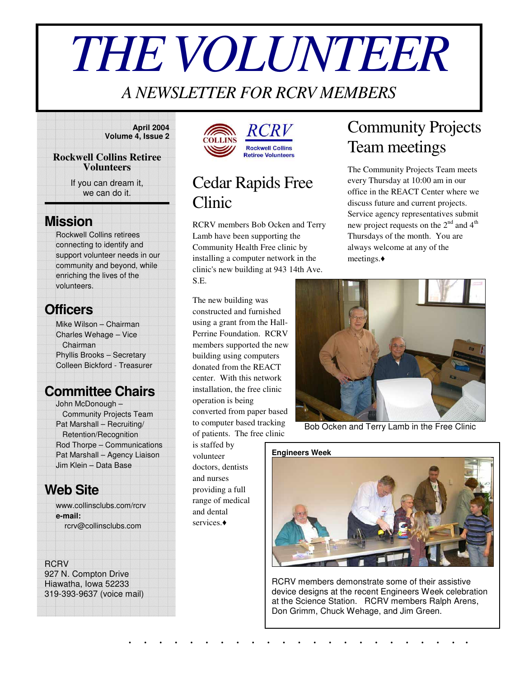# *THEVOLUNTEER*

### *A NEWSLETTER FOR RCRV MEMBERS*

**April 2004 Volume 4, Issue 2**

#### **Rockwell Collins Retiree Volunteers**

If you can dream it, we can do it.

### **Mission**

Rockwell Collins retirees connecting to identify and support volunteer needs in our community and beyond, while enriching the lives of the volunteers.

### **Officers**

Mike Wilson – Chairman Charles Wehage – Vice Chairman Phyllis Brooks – Secretary Colleen Bickford - Treasurer

### **Committee Chairs**

John McDonough – Community Projects Team Pat Marshall – Recruiting/ Retention/Recognition Rod Thorpe – Communications Pat Marshall – Agency Liaison Jim Klein – Data Base

### **Web Site**

www.collinsclubs.com/rcrv **e-mail:** rcrv@collinsclubs.com

#### **RCRV**

927 N. Compton Drive Hiawatha, Iowa 52233 319-393-9637 (voice mail)





### Cedar Rapids Free Clinic

RCRV members Bob Ocken and Terry Lamb have been supporting the Community Health Free clinic by installing a computer network in the clinic's new building at 943 14th Ave. S.E.

The new building was constructed and furnished using a grant from the Hall-Perrine Foundation. RCRV members supported the new building using computers donated from the REACT center. With this network installation, the free clinic operation is being converted from paper based to computer based tracking of patients. The free clinic

is staffed by volunteer doctors, dentists and nurses providing a full range of medical and dental services.

### Community Projects Team meetings

The Community Projects Team meets every Thursday at 10:00 am in our office in the REACT Center where we discuss future and current projects. Service agency representatives submit new project requests on the  $2<sup>nd</sup>$  and  $4<sup>th</sup>$ Thursdays of the month. You are always welcome at any of the meetings.



Bob Ocken and Terry Lamb in the Free Clinic



RCRV members demonstrate some of their assistive device designs at the recent Engineers Week celebration at the Science Station. RCRV members Ralph Arens, Don Grimm, Chuck Wehage, and Jim Green.

. . . . . . . . . . . . . . . . . . . . . . .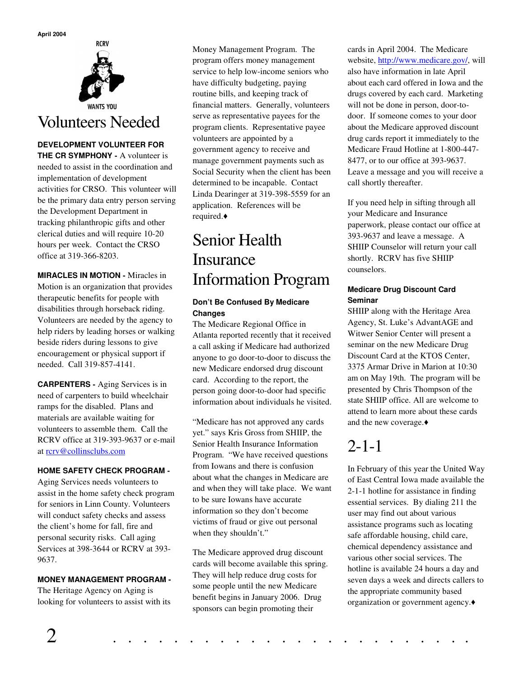

#### **DEVELOPMENT VOLUNTEER FOR**

**THE CR SYMPHONY -** A volunteer is needed to assist in the coordination and implementation of development activities for CRSO. This volunteer will be the primary data entry person serving the Development Department in tracking philanthropic gifts and other clerical duties and will require 10-20 hours per week. Contact the CRSO office at 319-366-8203.

**MIRACLES IN MOTION -** Miracles in Motion is an organization that provides therapeutic benefits for people with disabilities through horseback riding. Volunteers are needed by the agency to help riders by leading horses or walking beside riders during lessons to give encouragement or physical support if needed. Call 319-857-4141.

**CARPENTERS -** Aging Services is in need of carpenters to build wheelchair ramps for the disabled. Plans and materials are available waiting for volunteers to assemble them. Call the RCRV office at 319-393-9637 or e-mail at rcrv@collinsclubs.com

#### **HOME SAFETY CHECK PROGRAM -**

Aging Services needs volunteers to assist in the home safety check program for seniors in Linn County. Volunteers will conduct safety checks and assess the client's home for fall, fire and personal security risks. Call aging Services at 398-3644 or RCRV at 393- 9637.

#### **MONEY MANAGEMENT PROGRAM -**

The Heritage Agency on Aging is looking for volunteers to assist with its Money Management Program. The program offers money management service to help low-income seniors who have difficulty budgeting, paying routine bills, and keeping track of financial matters. Generally, volunteers serve as representative payees for the program clients. Representative payee volunteers are appointed by a government agency to receive and manage government payments such as Social Security when the client has been determined to be incapable. Contact Linda Dearinger at 319-398-5559 for an application. References will be required.

### Senior Health Insurance Information Program

#### **Don't Be Confused By Medicare Changes**

The Medicare Regional Office in Atlanta reported recently that it received a call asking if Medicare had authorized anyone to go door-to-door to discuss the new Medicare endorsed drug discount card. According to the report, the person going door-to-door had specific information about individuals he visited.

"Medicare has not approved any cards yet." says Kris Gross from SHIIP, the Senior Health Insurance Information Program. "We have received questions from Iowans and there is confusion about what the changes in Medicare are and when they will take place. We want to be sure Iowans have accurate information so they don't become victims of fraud or give out personal when they shouldn't."

The Medicare approved drug discount cards will become available this spring. They will help reduce drug costs for some people until the new Medicare benefit begins in January 2006. Drug sponsors can begin promoting their

cards in April 2004. The Medicare website, http://www.medicare.gov/, will also have information in late April about each card offered in Iowa and the drugs covered by each card. Marketing will not be done in person, door-todoor. If someone comes to your door about the Medicare approved discount drug cards report it immediately to the Medicare Fraud Hotline at 1-800-447- 8477, or to our office at 393-9637. Leave a message and you will receive a call shortly thereafter.

If you need help in sifting through all your Medicare and Insurance paperwork, please contact our office at 393-9637 and leave a message. A SHIIP Counselor will return your call shortly. RCRV has five SHIIP counselors.

#### **Medicare Drug Discount Card Seminar**

SHIIP along with the Heritage Area Agency, St. Luke's AdvantAGE and Witwer Senior Center will present a seminar on the new Medicare Drug Discount Card at the KTOS Center, 3375 Armar Drive in Marion at 10:30 am on May 19th. The program will be presented by Chris Thompson of the state SHIIP office. All are welcome to attend to learn more about these cards and the new coverage.

### 2-1-1

In February of this year the United Way of East Central Iowa made available the 2-1-1 hotline for assistance in finding essential services. By dialing 211 the user may find out about various assistance programs such as locating safe affordable housing, child care, chemical dependency assistance and various other social services. The hotline is available 24 hours a day and seven days a week and directs callers to the appropriate community based organization or government agency.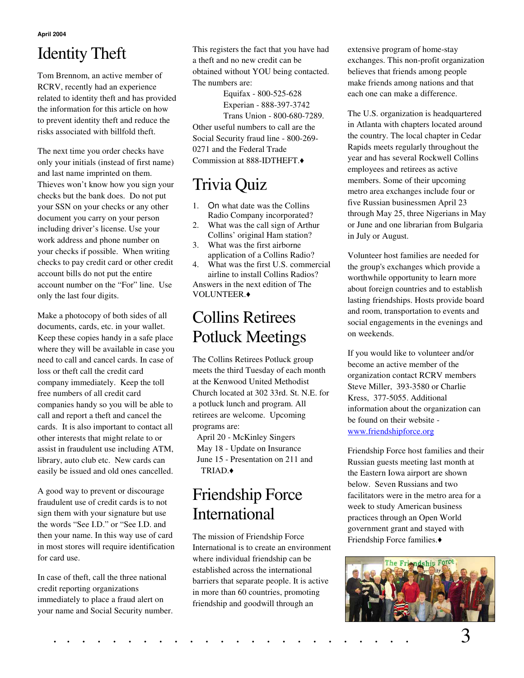**April 2004**

# Identity Theft

Tom Brennom, an active member of RCRV, recently had an experience related to identity theft and has provided the information for this article on how to prevent identity theft and reduce the risks associated with billfold theft.

The next time you order checks have only your initials (instead of first name) and last name imprinted on them. Thieves won't know how you sign your checks but the bank does. Do not put your SSN on your checks or any other document you carry on your person including driver's license. Use your work address and phone number on your checks if possible. When writing checks to pay credit card or other credit account bills do not put the entire account number on the "For" line. Use only the last four digits.

Make a photocopy of both sides of all documents, cards, etc. in your wallet. Keep these copies handy in a safe place where they will be available in case you need to call and cancel cards. In case of loss or theft call the credit card company immediately. Keep the toll free numbers of all credit card companies handy so you will be able to call and report a theft and cancel the cards. It is also important to contact all other interests that might relate to or assist in fraudulent use including ATM, library, auto club etc. New cards can easily be issued and old ones cancelled.

A good way to prevent or discourage fraudulent use of credit cards is to not sign them with your signature but use the words "See I.D." or "See I.D. and then your name. In this way use of card in most stores will require identification for card use.

In case of theft, call the three national credit reporting organizations immediately to place a fraud alert on your name and Social Security number.

This registers the fact that you have had a theft and no new credit can be obtained without YOU being contacted. The numbers are:

Equifax - 800-525-628

Experian - 888-397-3742 Trans Union - 800-680-7289. Other useful numbers to call are the Social Security fraud line - 800-269- 0271 and the Federal Trade Commission at 888-IDTHEFT.

# Trivia Quiz

- 1. On what date was the Collins Radio Company incorporated?
- 2. What was the call sign of Arthur Collins' original Ham station?
- 3. What was the first airborne application of a Collins Radio?
- 4. What was the first U.S. commercial airline to install Collins Radios? Answers in the next edition of The

VOLUNTEER.

### Collins Retirees Potluck Meetings

The Collins Retirees Potluck group meets the third Tuesday of each month at the Kenwood United Methodist Church located at 302 33rd. St. N.E. for a potluck lunch and program. All retirees are welcome. Upcoming programs are:

April 20 - McKinley Singers May 18 - Update on Insurance June 15 - Presentation on 211 and TRIAD.

### Friendship Force International

The mission of Friendship Force International is to create an environment where individual friendship can be established across the international barriers that separate people. It is active in more than 60 countries, promoting friendship and goodwill through an

extensive program of home-stay exchanges. This non-profit organization believes that friends among people make friends among nations and that each one can make a difference.

The U.S. organization is headquartered in Atlanta with chapters located around the country. The local chapter in Cedar Rapids meets regularly throughout the year and has several Rockwell Collins employees and retirees as active members. Some of their upcoming metro area exchanges include four or five Russian businessmen April 23 through May 25, three Nigerians in May or June and one librarian from Bulgaria in July or August.

Volunteer host families are needed for the group's exchanges which provide a worthwhile opportunity to learn more about foreign countries and to establish lasting friendships. Hosts provide board and room, transportation to events and social engagements in the evenings and on weekends.

If you would like to volunteer and/or become an active member of the organization contact RCRV members Steve Miller, 393-3580 or Charlie Kress, 377-5055. Additional information about the organization can be found on their website www.friendshipforce.org

Friendship Force host families and their Russian guests meeting last month at the Eastern Iowa airport are shown below. Seven Russians and two facilitators were in the metro area for a week to study American business practices through an Open World government grant and stayed with Friendship Force families.